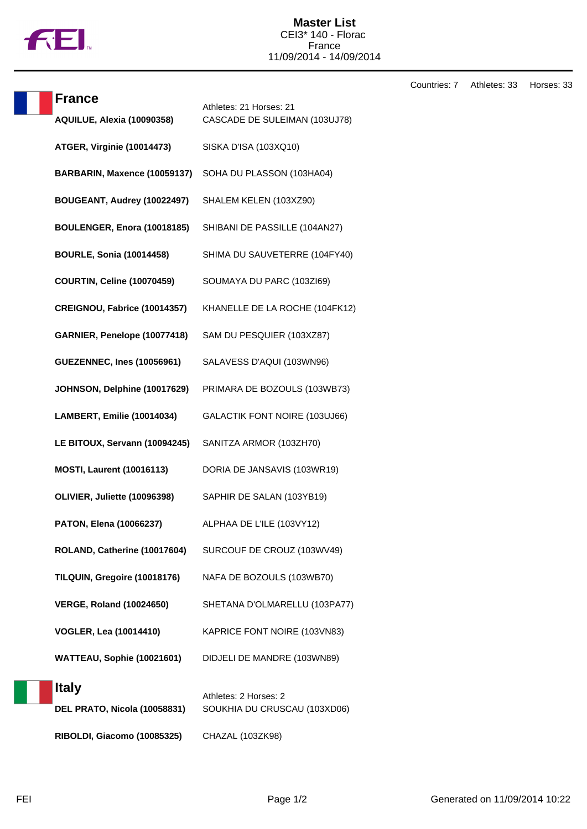

Countries: 7 Athletes: 33 Horses: 33

| <b>France</b>                     | Athletes: 21 Horses: 21        |
|-----------------------------------|--------------------------------|
| AQUILUE, Alexia (10090358)        | CASCADE DE SULEIMAN (103UJ78)  |
| <b>ATGER, Virginie (10014473)</b> | SISKA D'ISA (103XQ10)          |
| BARBARIN, Maxence (10059137)      | SOHA DU PLASSON (103HA04)      |
| BOUGEANT, Audrey (10022497)       | SHALEM KELEN (103XZ90)         |
| BOULENGER, Enora (10018185)       | SHIBANI DE PASSILLE (104AN27)  |
| <b>BOURLE, Sonia (10014458)</b>   | SHIMA DU SAUVETERRE (104FY40)  |
| <b>COURTIN, Celine (10070459)</b> | SOUMAYA DU PARC (103ZI69)      |
| CREIGNOU, Fabrice (10014357)      | KHANELLE DE LA ROCHE (104FK12) |
| GARNIER, Penelope (10077418)      | SAM DU PESQUIER (103XZ87)      |
| <b>GUEZENNEC, Ines (10056961)</b> | SALAVESS D'AQUI (103WN96)      |
| JOHNSON, Delphine (10017629)      | PRIMARA DE BOZOULS (103WB73)   |
| LAMBERT, Emilie (10014034)        | GALACTIK FONT NOIRE (103UJ66)  |
| LE BITOUX, Servann (10094245)     | SANITZA ARMOR (103ZH70)        |
| <b>MOSTI, Laurent (10016113)</b>  | DORIA DE JANSAVIS (103WR19)    |
| OLIVIER, Juliette (10096398)      | SAPHIR DE SALAN (103YB19)      |
| PATON, Elena (10066237)           | ALPHAA DE L'ILE (103VY12)      |
| ROLAND, Catherine (10017604)      | SURCOUF DE CROUZ (103WV49)     |
| TILQUIN, Gregoire (10018176)      | NAFA DE BOZOULS (103WB70)      |
| <b>VERGE, Roland (10024650)</b>   | SHETANA D'OLMARELLU (103PA77)  |
| <b>VOGLER, Lea (10014410)</b>     | KAPRICE FONT NOIRE (103VN83)   |
| WATTEAU, Sophie (10021601)        | DIDJELI DE MANDRE (103WN89)    |
| <b>Italy</b>                      | Athletes: 2 Horses: 2          |
| DEL PRATO, Nicola (10058831)      | SOUKHIA DU CRUSCAU (103XD06)   |
| RIBOLDI, Giacomo (10085325)       | CHAZAL (103ZK98)               |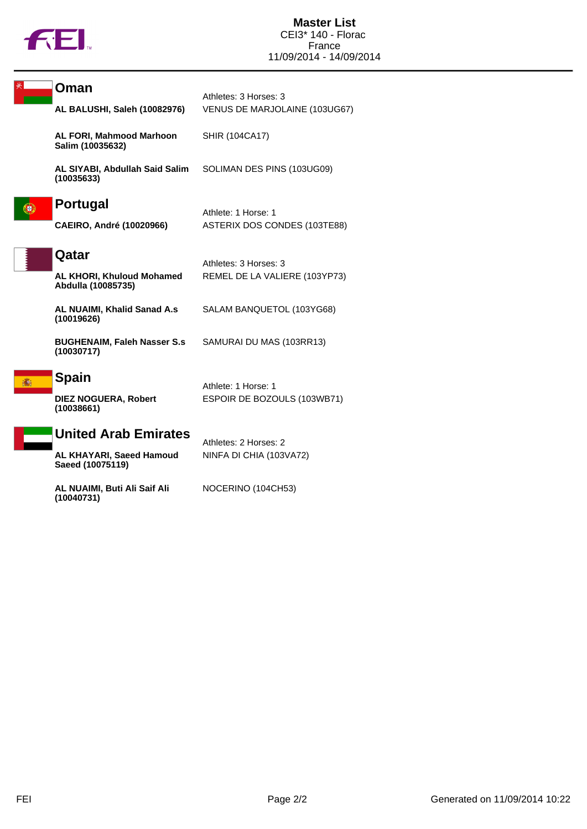

| Oman<br>AL BALUSHI, Saleh (10082976)                            | Athletes: 3 Horses: 3<br>VENUS DE MARJOLAINE (103UG67) |
|-----------------------------------------------------------------|--------------------------------------------------------|
| <b>AL FORI, Mahmood Marhoon</b><br>Salim (10035632)             | <b>SHIR (104CA17)</b>                                  |
| AL SIYABI, Abdullah Said Salim<br>(10035633)                    | SOLIMAN DES PINS (103UG09)                             |
| <b>Portugal</b><br><b>CAEIRO, André (10020966)</b>              | Athlete: 1 Horse: 1<br>ASTERIX DOS CONDES (103TE88)    |
| Qatar<br><b>AL KHORI, Khuloud Mohamed</b><br>Abdulla (10085735) | Athletes: 3 Horses: 3<br>REMEL DE LA VALIERE (103YP73) |
| AL NUAIMI, Khalid Sanad A.s<br>(10019626)                       | SALAM BANQUETOL (103YG68)                              |
| <b>BUGHENAIM, Faleh Nasser S.s</b><br>(10030717)                | SAMURAI DU MAS (103RR13)                               |
| <b>Spain</b><br><b>DIEZ NOGUERA, Robert</b><br>(10038661)       | Athlete: 1 Horse: 1<br>ESPOIR DE BOZOULS (103WB71)     |
| <b>United Arab Emirates</b><br>AL KHAYARI, Saeed Hamoud         | Athletes: 2 Horses: 2<br>NINFA DI CHIA (103VA72)       |

**AL NUAIMI, Buti Ali Saif Ali (10040731)**

**Saeed (10075119)**

NOCERINO (104CH53)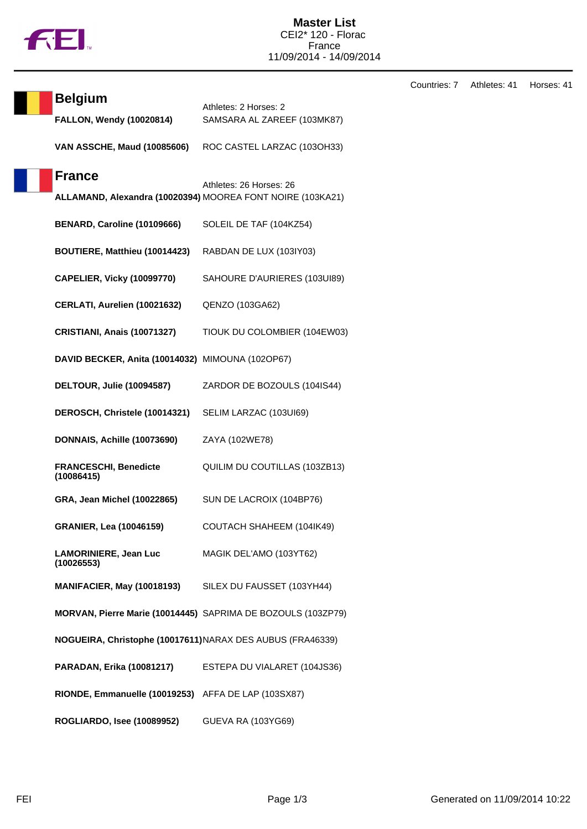

**Belgium**<br>Athletes: 2 Horses: 2

| <b>FALLON, Wendy (10020814)</b>                            | SAMSARA AL ZAREEF (103MK87)                                                           |
|------------------------------------------------------------|---------------------------------------------------------------------------------------|
| <b>VAN ASSCHE, Maud (10085606)</b>                         | ROC CASTEL LARZAC (103OH33)                                                           |
| <b>France</b>                                              | Athletes: 26 Horses: 26<br>ALLAMAND, Alexandra (10020394) MOOREA FONT NOIRE (103KA21) |
| BENARD, Caroline (10109666)                                | SOLEIL DE TAF (104KZ54)                                                               |
| BOUTIERE, Matthieu (10014423)                              | RABDAN DE LUX (103IY03)                                                               |
| <b>CAPELIER, Vicky (10099770)</b>                          | SAHOURE D'AURIERES (103UI89)                                                          |
| CERLATI, Aurelien (10021632)                               | QENZO (103GA62)                                                                       |
| <b>CRISTIANI, Anais (10071327)</b>                         | TIOUK DU COLOMBIER (104EW03)                                                          |
| DAVID BECKER, Anita (10014032) MIMOUNA (102OP67)           |                                                                                       |
| <b>DELTOUR, Julie (10094587)</b>                           | ZARDOR DE BOZOULS (104IS44)                                                           |
| DEROSCH, Christele (10014321)                              | SELIM LARZAC (103UI69)                                                                |
|                                                            |                                                                                       |
| DONNAIS, Achille (10073690)                                | ZAYA (102WE78)                                                                        |
| <b>FRANCESCHI, Benedicte</b><br>(10086415)                 | QUILIM DU COUTILLAS (103ZB13)                                                         |
| GRA, Jean Michel (10022865)                                | SUN DE LACROIX (104BP76)                                                              |
| <b>GRANIER, Lea (10046159)</b>                             | COUTACH SHAHEEM (104IK49)                                                             |
| <b>LAMORINIERE, Jean Luc</b><br>(10026553)                 | MAGIK DEL'AMO (103YT62)                                                               |
| <b>MANIFACIER, May (10018193)</b>                          | SILEX DU FAUSSET (103YH44)                                                            |
|                                                            | MORVAN, Pierre Marie (10014445) SAPRIMA DE BOZOULS (103ZP79)                          |
| NOGUEIRA, Christophe (10017611) NARAX DES AUBUS (FRA46339) |                                                                                       |
| PARADAN, Erika (10081217)                                  | ESTEPA DU VIALARET (104JS36)                                                          |
| RIONDE, Emmanuelle (10019253) AFFA DE LAP (103SX87)        |                                                                                       |

Countries: 7 Athletes: 41 Horses: 41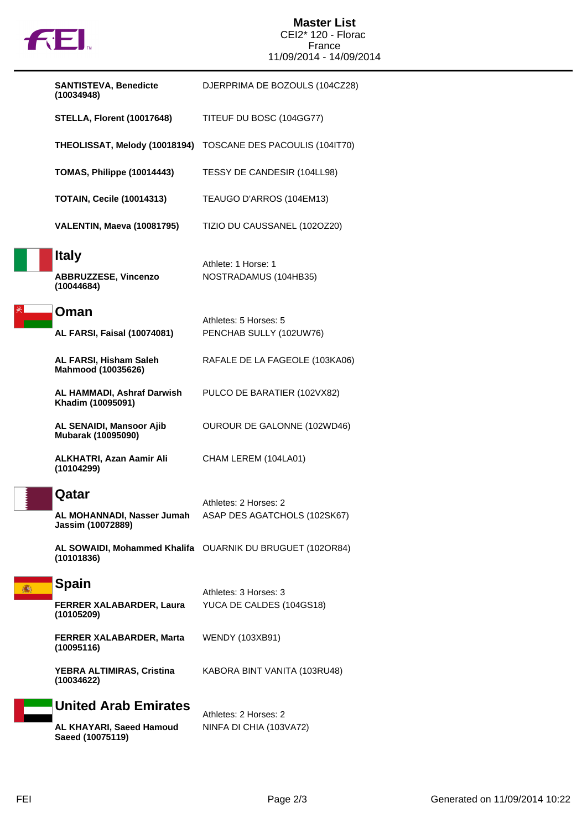

## **Master List** CEI2\* 120 - Florac France 11/09/2014 - 14/09/2014

|   | <b>SANTISTEVA, Benedicte</b><br>(10034948)                | DJERPRIMA DE BOZOULS (104CZ28)                               |
|---|-----------------------------------------------------------|--------------------------------------------------------------|
|   | <b>STELLA, Florent (10017648)</b>                         | TITEUF DU BOSC (104GG77)                                     |
|   |                                                           | THEOLISSAT, Melody (10018194) TOSCANE DES PACOULIS (1041T70) |
|   | TOMAS, Philippe (10014443)                                | TESSY DE CANDESIR (104LL98)                                  |
|   | <b>TOTAIN, Cecile (10014313)</b>                          | TEAUGO D'ARROS (104EM13)                                     |
|   | VALENTIN, Maeva (10081795)                                | TIZIO DU CAUSSANEL (1020Z20)                                 |
|   | <b>Italy</b><br><b>ABBRUZZESE, Vincenzo</b><br>(10044684) | Athlete: 1 Horse: 1<br>NOSTRADAMUS (104HB35)                 |
|   | Oman<br><b>AL FARSI, Faisal (10074081)</b>                | Athletes: 5 Horses: 5<br>PENCHAB SULLY (102UW76)             |
|   | AL FARSI, Hisham Saleh<br>Mahmood (10035626)              | RAFALE DE LA FAGEOLE (103KA06)                               |
|   | AL HAMMADI, Ashraf Darwish<br>Khadim (10095091)           | PULCO DE BARATIER (102VX82)                                  |
|   | AL SENAIDI, Mansoor Ajib<br>Mubarak (10095090)            | OUROUR DE GALONNE (102WD46)                                  |
|   | ALKHATRI, Azan Aamir Ali<br>(10104299)                    | CHAM LEREM (104LA01)                                         |
|   | Qatar<br>AL MOHANNADI, Nasser Jumah<br>Jassim (10072889)  | Athletes: 2 Horses: 2<br>ASAP DES AGATCHOLS (102SK67)        |
|   | (10101836)                                                | AL SOWAIDI, Mohammed Khalifa OUARNIK DU BRUGUET (102OR84)    |
| 攝 | <b>Spain</b>                                              | Athletes: 3 Horses: 3                                        |
|   | FERRER XALABARDER, Laura<br>(10105209)                    | YUCA DE CALDES (104GS18)                                     |
|   | FERRER XALABARDER, Marta<br>(10095116)                    | <b>WENDY (103XB91)</b>                                       |
|   | YEBRA ALTIMIRAS, Cristina<br>(10034622)                   | KABORA BINT VANITA (103RU48)                                 |
|   | <b>United Arab Emirates</b>                               | Athletes: 2 Horses: 2                                        |
|   | AL KHAYARI, Saeed Hamoud                                  | NINFA DI CHIA (103VA72)                                      |

**Saeed (10075119)**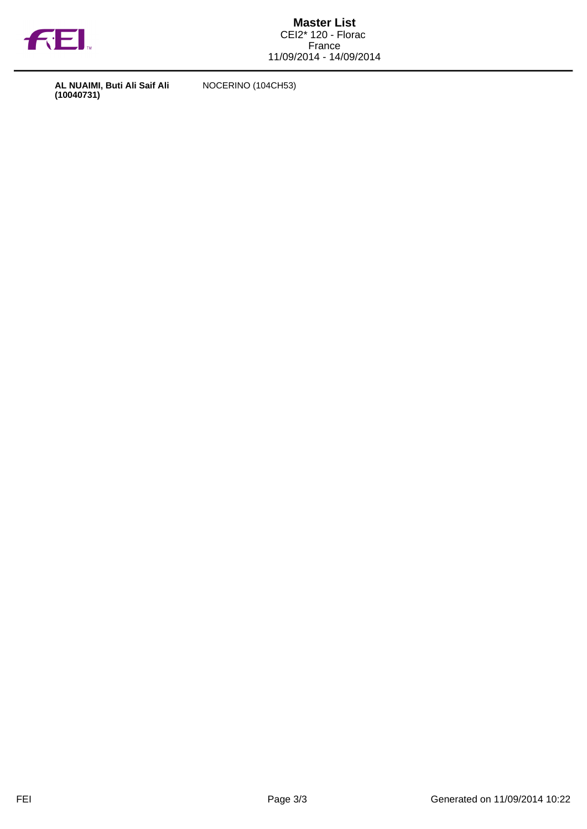

**AL NUAIMI, Buti Ali Saif Ali (10040731)**

NOCERINO (104CH53)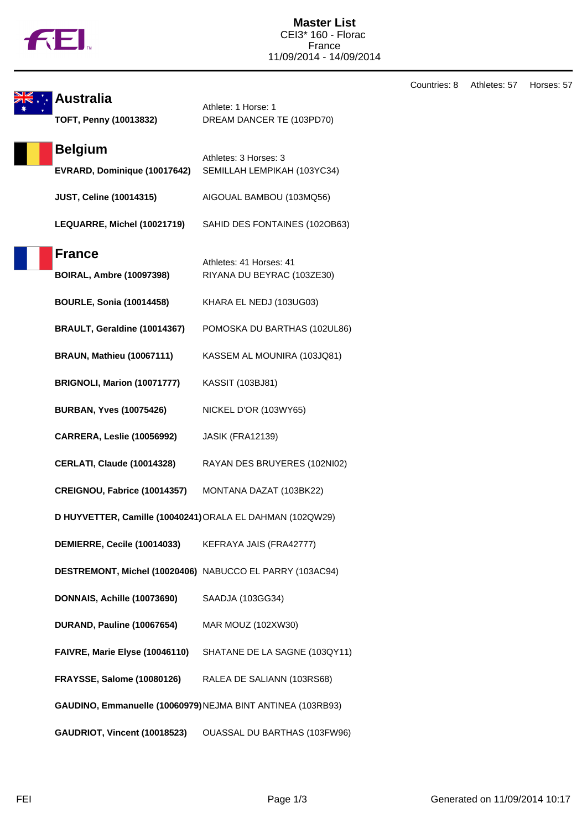|  | Ν |
|--|---|
|  |   |

Countries: 8 Athletes: 57 Horses: 57 **Australia** Athlete: 1 Horse: 1 **TOFT, Penny (10013832)** DREAM DANCER TE (103PD70) **Belgium** Athletes: 3 Horses: 3 **EVRARD, Dominique (10017642)** SEMILLAH LEMPIKAH (103YC34) **JUST, Celine (10014315)** AIGOUAL BAMBOU (103MQ56) **LEQUARRE, Michel (10021719)** SAHID DES FONTAINES (102OB63) **France** Athletes: 41 Horses: 41 **BOIRAL, Ambre (10097398)** RIYANA DU BEYRAC (103ZE30) **BOURLE, Sonia (10014458)** KHARA EL NEDJ (103UG03) **BRAULT, Geraldine (10014367)** POMOSKA DU BARTHAS (102UL86) **BRAUN, Mathieu (10067111)** KASSEM AL MOUNIRA (103JQ81) **BRIGNOLI, Marion (10071777)** KASSIT (103BJ81) **BURBAN, Yves (10075426)** NICKEL D'OR (103WY65) **CARRERA, Leslie (10056992)** JASIK (FRA12139) **CERLATI, Claude (10014328)** RAYAN DES BRUYERES (102NI02) **CREIGNOU, Fabrice (10014357)** MONTANA DAZAT (103BK22) **D HUYVETTER, Camille (10040241)**ORALA EL DAHMAN (102QW29) **DEMIERRE, Cecile (10014033)** KEFRAYA JAIS (FRA42777) **DESTREMONT, Michel (10020406)** NABUCCO EL PARRY (103AC94) **DONNAIS, Achille (10073690)** SAADJA (103GG34) **DURAND, Pauline (10067654)** MAR MOUZ (102XW30) **FAIVRE, Marie Elyse (10046110)** SHATANE DE LA SAGNE (103QY11) **FRAYSSE, Salome (10080126)** RALEA DE SALIANN (103RS68) **GAUDINO, Emmanuelle (10060979)**NEJMA BINT ANTINEA (103RB93) **GAUDRIOT, Vincent (10018523)** OUASSAL DU BARTHAS (103FW96)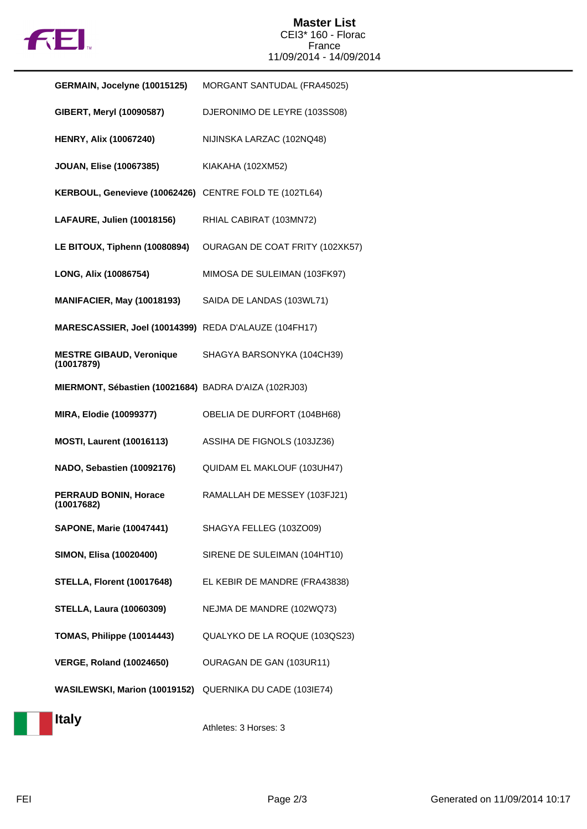

## **Master List** CEI3\* 160 - Florac France 11/09/2014 - 14/09/2014

| GERMAIN, Jocelyne (10015125)                             | MORGANT SANTUDAL (FRA45025)     |
|----------------------------------------------------------|---------------------------------|
| GIBERT, Meryl (10090587)                                 | DJERONIMO DE LEYRE (103SS08)    |
| <b>HENRY, Alix (10067240)</b>                            | NIJINSKA LARZAC (102NQ48)       |
| <b>JOUAN, Elise (10067385)</b>                           | KIAKAHA (102XM52)               |
| KERBOUL, Genevieve (10062426) CENTRE FOLD TE (102TL64)   |                                 |
| LAFAURE, Julien (10018156)                               | RHIAL CABIRAT (103MN72)         |
| LE BITOUX, Tiphenn (10080894)                            | OURAGAN DE COAT FRITY (102XK57) |
| LONG, Alix (10086754)                                    | MIMOSA DE SULEIMAN (103FK97)    |
| <b>MANIFACIER, May (10018193)</b>                        | SAIDA DE LANDAS (103WL71)       |
| MARESCASSIER, Joel (10014399) REDA D'ALAUZE (104FH17)    |                                 |
| <b>MESTRE GIBAUD, Veronique</b><br>(10017879)            | SHAGYA BARSONYKA (104CH39)      |
| MIERMONT, Sébastien (10021684) BADRA D'AIZA (102RJ03)    |                                 |
| <b>MIRA, Elodie (10099377)</b>                           | OBELIA DE DURFORT (104BH68)     |
| <b>MOSTI, Laurent (10016113)</b>                         | ASSIHA DE FIGNOLS (103JZ36)     |
| NADO, Sebastien (10092176)                               | QUIDAM EL MAKLOUF (103UH47)     |
| <b>PERRAUD BONIN, Horace</b><br>(10017682)               | RAMALLAH DE MESSEY (103FJ21)    |
| <b>SAPONE, Marie (10047441)</b>                          | SHAGYA FELLEG (103ZO09)         |
| SIMON, Elisa (10020400)                                  | SIRENE DE SULEIMAN (104HT10)    |
| <b>STELLA, Florent (10017648)</b>                        | EL KEBIR DE MANDRE (FRA43838)   |
| <b>STELLA, Laura (10060309)</b>                          | NEJMA DE MANDRE (102WQ73)       |
| TOMAS, Philippe (10014443)                               | QUALYKO DE LA ROQUE (103QS23)   |
| <b>VERGE, Roland (10024650)</b>                          | OURAGAN DE GAN (103UR11)        |
| WASILEWSKI, Marion (10019152) QUERNIKA DU CADE (103IE74) |                                 |

**Italy**

Athletes: 3 Horses: 3